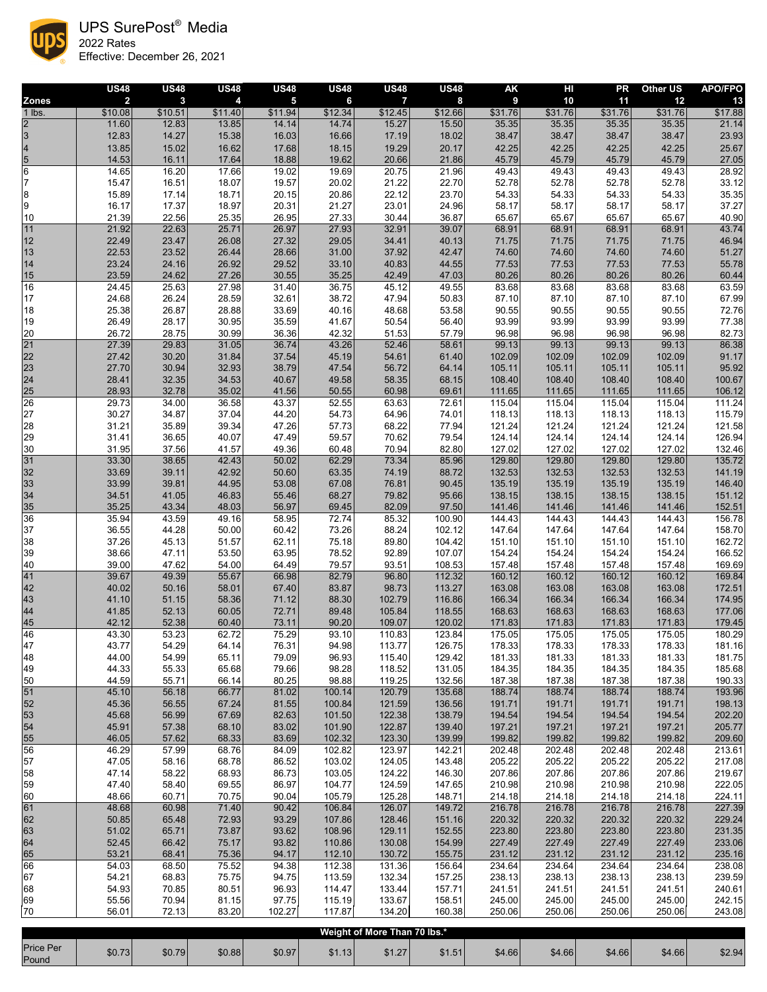

UPS SurePost® Media

2022 Rates Effective: December 26, 2021

|                           | <b>US48</b>               | <b>US48</b>             | <b>US48</b>    | <b>US48</b>                        | <b>US48</b>      | <b>US48</b>                  | <b>US48</b>      | <b>AK</b>                   | HI               | <b>PR</b>        | <b>Other US</b>  | <b>APO/FPO</b>   |
|---------------------------|---------------------------|-------------------------|----------------|------------------------------------|------------------|------------------------------|------------------|-----------------------------|------------------|------------------|------------------|------------------|
| <b>Zones</b><br>$1$ lbs.  | $\overline{2}$<br>\$10.08 | $\mathbf{3}$<br>\$10.51 | 4<br>\$11.40   | $\overline{\mathbf{5}}$<br>\$11.94 | 6<br>\$12.34     | 7<br>\$12.45                 | 8<br>\$12.66     | $\boldsymbol{9}$<br>\$31.76 | 10<br>\$31.76    | 11<br>\$31.76    | 12<br>\$31.76    | 13<br>\$17.88    |
| $\overline{2}$            | 11.60                     | 12.83                   | 13.85          | 14.14                              | 14.74            | 15.27                        | 15.50            | 35.35                       | 35.35            | 35.35            | 35.35            | 21.14            |
| $\overline{3}$            | 12.83                     | 14.27                   | 15.38          | 16.03                              | 16.66            | 17.19                        | 18.02            | 38.47                       | 38.47            | 38.47            | 38.47            | 23.93            |
| $\vert 4$                 | 13.85                     | 15.02                   | 16.62          | 17.68                              | 18.15            | 19.29                        | 20.17            | 42.25                       | 42.25            | 42.25            | 42.25            | 25.67            |
| $\frac{5}{6}$             | 14.53                     | 16.11                   | 17.64          | 18.88                              | 19.62            | 20.66                        | 21.86            | 45.79                       | 45.79            | 45.79            | 45.79            | 27.05            |
| $\overline{7}$            | 14.65<br>15.47            | 16.20<br>16.51          | 17.66<br>18.07 | 19.02<br>19.57                     | 19.69<br>20.02   | 20.75<br>21.22               | 21.96<br>22.70   | 49.43<br>52.78              | 49.43<br>52.78   | 49.43<br>52.78   | 49.43<br>52.78   | 28.92<br>33.12   |
| $\bf 8$                   | 15.89                     | 17.14                   | 18.71          | 20.15                              | 20.86            | 22.12                        | 23.70            | 54.33                       | 54.33            | 54.33            | 54.33            | 35.35            |
| $\boldsymbol{9}$          | 16.17                     | 17.37                   | 18.97          | 20.31                              | 21.27            | 23.01                        | 24.96            | 58.17                       | 58.17            | 58.17            | 58.17            | 37.27            |
| 10                        | 21.39                     | 22.56                   | 25.35          | 26.95                              | 27.33            | 30.44                        | 36.87            | 65.67                       | 65.67            | 65.67            | 65.67            | 40.90            |
| $\boxed{11}$              | 21.92                     | 22.63                   | 25.71          | 26.97                              | 27.93            | 32.91                        | 39.07            | 68.91                       | 68.91            | 68.91            | 68.91            | 43.74            |
| 12                        | 22.49                     | 23.47                   | 26.08          | 27.32                              | 29.05<br>31.00   | 34.41                        | 40.13            | 71.75                       | 71.75            | 71.75            | 71.75            | 46.94            |
| 13<br>14                  | 22.53<br>23.24            | 23.52<br>24.16          | 26.44<br>26.92 | 28.66<br>29.52                     | 33.10            | 37.92<br>40.83               | 42.47<br>44.55   | 74.60<br>77.53              | 74.60<br>77.53   | 74.60<br>77.53   | 74.60<br>77.53   | 51.27<br>55.78   |
| $15$                      | 23.59                     | 24.62                   | 27.26          | 30.55                              | 35.25            | 42.49                        | 47.03            | 80.26                       | 80.26            | 80.26            | 80.26            | 60.44            |
| 16                        | 24.45                     | 25.63                   | 27.98          | 31.40                              | 36.75            | 45.12                        | 49.55            | 83.68                       | 83.68            | 83.68            | 83.68            | 63.59            |
| 17                        | 24.68                     | 26.24                   | 28.59          | 32.61                              | 38.72            | 47.94                        | 50.83            | 87.10                       | 87.10            | 87.10            | 87.10            | 67.99            |
| $18$                      | 25.38                     | 26.87                   | 28.88          | 33.69                              | 40.16            | 48.68                        | 53.58            | 90.55                       | 90.55            | 90.55            | 90.55            | 72.76            |
| 19<br>20                  | 26.49<br>26.72            | 28.17<br>28.75          | 30.95<br>30.99 | 35.59<br>36.36                     | 41.67<br>42.32   | 50.54<br>51.53               | 56.40<br>57.79   | 93.99<br>96.98              | 93.99<br>96.98   | 93.99<br>96.98   | 93.99<br>96.98   | 77.38<br>82.73   |
| $\overline{21}$           | 27.39                     | 29.83                   | 31.05          | 36.74                              | 43.26            | 52.46                        | 58.61            | 99.13                       | 99.13            | 99.13            | 99.13            | 86.38            |
| 22                        | 27.42                     | 30.20                   | 31.84          | 37.54                              | 45.19            | 54.61                        | 61.40            | 102.09                      | 102.09           | 102.09           | 102.09           | 91.17            |
| 23                        | 27.70                     | 30.94                   | 32.93          | 38.79                              | 47.54            | 56.72                        | 64.14            | 105.11                      | 105.11           | 105.11           | 105.11           | 95.92            |
| 24                        | 28.41                     | 32.35                   | 34.53          | 40.67                              | 49.58            | 58.35                        | 68.15            | 108.40                      | 108.40           | 108.40           | 108.40           | 100.67           |
| 25<br>$\overline{26}$     | 28.93                     | 32.78                   | 35.02          | 41.56                              | 50.55            | 60.98                        | 69.61            | 111.65                      | 111.65           | 111.65           | 111.65           | 106.12           |
| 27                        | 29.73<br>30.27            | 34.00<br>34.87          | 36.58<br>37.04 | 43.37<br>44.20                     | 52.55<br>54.73   | 63.63<br>64.96               | 72.61<br>74.01   | 115.04<br>118.13            | 115.04<br>118.13 | 115.04<br>118.13 | 115.04<br>118.13 | 111.24<br>115.79 |
| $28\,$                    | 31.21                     | 35.89                   | 39.34          | 47.26                              | 57.73            | 68.22                        | 77.94            | 121.24                      | 121.24           | 121.24           | 121.24           | 121.58           |
| 29                        | 31.41                     | 36.65                   | 40.07          | 47.49                              | 59.57            | 70.62                        | 79.54            | 124.14                      | 124.14           | 124.14           | 124.14           | 126.94           |
| 30                        | 31.95                     | 37.56                   | 41.57          | 49.36                              | 60.48            | 70.94                        | 82.80            | 127.02                      | 127.02           | 127.02           | 127.02           | 132.46           |
| 31                        | 33.30                     | 38.65                   | 42.43          | 50.02                              | 62.29            | 73.34                        | 85.96            | 129.80                      | 129.80           | 129.80           | 129.80           | 135.72           |
| 32<br>33                  | 33.69<br>33.99            | 39.11<br>39.81          | 42.92<br>44.95 | 50.60<br>53.08                     | 63.35<br>67.08   | 74.19<br>76.81               | 88.72<br>90.45   | 132.53<br>135.19            | 132.53<br>135.19 | 132.53<br>135.19 | 132.53<br>135.19 | 141.19<br>146.40 |
| 34                        | 34.51                     | 41.05                   | 46.83          | 55.46                              | 68.27            | 79.82                        | 95.66            | 138.15                      | 138.15           | 138.15           | 138.15           | 151.12           |
| $\frac{35}{36}$           | 35.25                     | 43.34                   | 48.03          | 56.97                              | 69.45            | 82.09                        | 97.50            | 141.46                      | 141.46           | 141.46           | 141.46           | 152.51           |
|                           | 35.94                     | 43.59                   | 49.16          | 58.95                              | 72.74            | 85.32                        | 100.90           | 144.43                      | 144.43           | 144.43           | 144.43           | 156.78           |
| 37                        | 36.55                     | 44.28                   | 50.00          | 60.42                              | 73.26            | 88.24                        | 102.12           | 147.64                      | 147.64           | 147.64           | 147.64           | 158.70           |
| 38<br>39                  | 37.26<br>38.66            | 45.13<br>47.11          | 51.57<br>53.50 | 62.11<br>63.95                     | 75.18<br>78.52   | 89.80<br>92.89               | 104.42<br>107.07 | 151.10<br>154.24            | 151.10<br>154.24 | 151.10<br>154.24 | 151.10<br>154.24 | 162.72<br>166.52 |
| 40                        | 39.00                     | 47.62                   | 54.00          | 64.49                              | 79.57            | 93.51                        | 108.53           | 157.48                      | 157.48           | 157.48           | 157.48           | 169.69           |
| 41                        | 39.67                     | 49.39                   | 55.67          | 66.98                              | 82.79            | 96.80                        | 112.32           | 160.12                      | 160.12           | 160.12           | 160.12           | 169.84           |
| 42                        | 40.02                     | 50.16                   | 58.01          | 67.40                              | 83.87            | 98.73                        | 113.27           | 163.08                      | 163.08           | 163.08           | 163.08           | 172.51           |
| 43                        | 41.10                     | 51.15                   | 58.36          | 71.12                              | 88.30            | 102.79                       | 116.86           | 166.34                      | 166.34           | 166.34           | 166.34           | 174.95           |
| 44<br>45                  | 41.85<br>42.12            | 52.13<br>52.38          | 60.05<br>60.40 | 72.71<br>73.11                     | 89.48<br>90.20   | 105.84<br>109.07             | 118.55<br>120.02 | 168.63<br>171.83            | 168.63<br>171.83 | 168.63<br>171.83 | 168.63<br>171.83 | 177.06<br>179.45 |
| 46                        | 43.30                     | 53.23                   | 62.72          | 75.29                              | 93.10            | 110.83                       | 123.84           | 175.05                      | 175.05           | 175.05           | 175.05           | 180.29           |
| 47                        | 43.77                     | 54.29                   | 64.14          | 76.31                              | 94.98            | 113.77                       | 126.75           | 178.33                      | 178.33           | 178.33           | 178.33           | 181.16           |
| 48                        | 44.00                     | 54.99                   | 65.11          | 79.09                              | 96.93            | 115.40                       | 129.42           | 181.33                      | 181.33           | 181.33           | 181.33           | 181.75           |
| 49                        | 44.33                     | 55.33                   | 65.68          | 79.66                              | 98.28            | 118.52                       | 131.05           | 184.35                      | 184.35           | 184.35           | 184.35           | 185.68           |
| 50<br>51                  | 44.59<br>45.10            | 55.71<br>56.18          | 66.14<br>66.77 | 80.25<br>81.02                     | 98.88<br>100.14  | 119.25<br>120.79             | 132.56<br>135.68 | 187.38<br>188.74            | 187.38<br>188.74 | 187.38<br>188.74 | 187.38<br>188.74 | 190.33<br>193.96 |
| 52                        | 45.36                     | 56.55                   | 67.24          | 81.55                              | 100.84           | 121.59                       | 136.56           | 191.71                      | 191.71           | 191.71           | 191.71           | 198.13           |
| 53                        | 45.68                     | 56.99                   | 67.69          | 82.63                              | 101.50           | 122.38                       | 138.79           | 194.54                      | 194.54           | 194.54           | 194.54           | 202.20           |
| 54                        | 45.91                     | 57.38                   | 68.10          | 83.02                              | 101.90           | 122.87                       | 139.40           | 197.21                      | 197.21           | 197.21           | 197.21           | 205.77           |
| 55                        | 46.05                     | 57.62                   | 68.33          | 83.69                              | 102.32           | 123.30                       | 139.99           | 199.82                      | 199.82           | 199.82           | 199.82           | 209.60           |
| 56<br>57                  | 46.29<br>47.05            | 57.99                   | 68.76<br>68.78 | 84.09<br>86.52                     | 102.82<br>103.02 | 123.97                       | 142.21           | 202.48<br>205.22            | 202.48           | 202.48<br>205.22 | 202.48<br>205.22 | 213.61<br>217.08 |
| 58                        | 47.14                     | 58.16<br>58.22          | 68.93          | 86.73                              | 103.05           | 124.05<br>124.22             | 143.48<br>146.30 | 207.86                      | 205.22<br>207.86 | 207.86           | 207.86           | 219.67           |
| 59                        | 47.40                     | 58.40                   | 69.55          | 86.97                              | 104.77           | 124.59                       | 147.65           | 210.98                      | 210.98           | 210.98           | 210.98           | 222.05           |
| 60                        | 48.66                     | 60.71                   | 70.75          | 90.04                              | 105.79           | 125.28                       | 148.71           | 214.18                      | 214.18           | 214.18           | 214.18           | 224.11           |
| 61                        | 48.68                     | 60.98                   | 71.40          | 90.42                              | 106.84           | 126.07                       | 149.72           | 216.78                      | 216.78           | 216.78           | 216.78           | 227.39           |
| 62                        | 50.85                     | 65.48                   | 72.93          | 93.29                              | 107.86           | 128.46                       | 151.16           | 220.32                      | 220.32           | 220.32           | 220.32           | 229.24           |
| 63<br>64                  | 51.02<br>52.45            | 65.71<br>66.42          | 73.87<br>75.17 | 93.62<br>93.82                     | 108.96<br>110.86 | 129.11<br>130.08             | 152.55<br>154.99 | 223.80<br>227.49            | 223.80<br>227.49 | 223.80<br>227.49 | 223.80<br>227.49 | 231.35<br>233.06 |
|                           | 53.21                     | 68.41                   | 75.36          | 94.17                              | 112.10           | 130.72                       | 155.75           | 231.12                      | 231.12           | 231.12           | 231.12           | 235.16           |
| $\frac{65}{66}$           | 54.03                     | 68.50                   | 75.52          | 94.38                              | 112.38           | 131.36                       | 156.64           | 234.64                      | 234.64           | 234.64           | 234.64           | 238.08           |
| 67                        | 54.21                     | 68.83                   | 75.75          | 94.75                              | 113.59           | 132.34                       | 157.25           | 238.13                      | 238.13           | 238.13           | 238.13           | 239.59           |
| 68                        | 54.93                     | 70.85                   | 80.51          | 96.93                              | 114.47           | 133.44                       | 157.71           | 241.51                      | 241.51           | 241.51           | 241.51           | 240.61           |
| 69<br>70                  | 55.56<br>56.01            | 70.94<br>72.13          | 81.15<br>83.20 | 97.75<br>102.27                    | 115.19<br>117.87 | 133.67<br>134.20             | 158.51<br>160.38 | 245.00<br>250.06            | 245.00<br>250.06 | 245.00<br>250.06 | 245.00<br>250.06 | 242.15<br>243.08 |
|                           |                           |                         |                |                                    |                  |                              |                  |                             |                  |                  |                  |                  |
|                           |                           |                         |                |                                    |                  | Weight of More Than 70 lbs.* |                  |                             |                  |                  |                  |                  |
| <b>Price Per</b><br>Pound | \$0.73                    | \$0.79                  | \$0.88         | \$0.97                             | \$1.13           | \$1.27                       | \$1.51           | \$4.66                      | \$4.66           | \$4.66           | \$4.66           | \$2.94           |